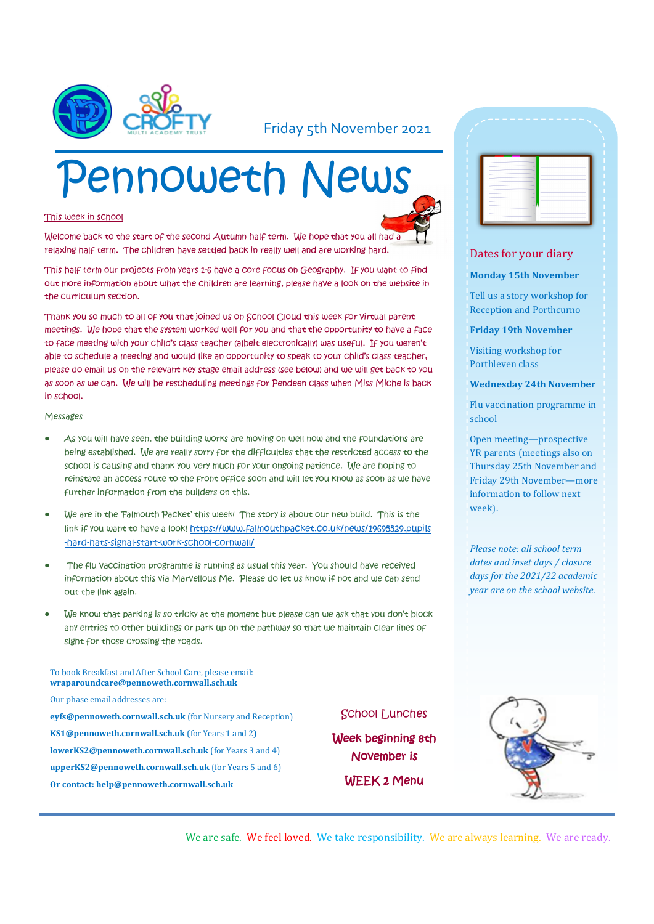

### Friday 5th November 2021

# Pennoweth News

#### This week in school

Welcome back to the start of the second Autumn half term. We hope that you all had a relaxing half term. The children have settled back in really well and are working hard.

This half term our projects from years 1-6 have a core focus on Geography. If you want to find out more information about what the children are learning, please have a look on the website in the curriculum section.

Thank you so much to all of you that joined us on School Cloud this week for virtual parent meetings. We hope that the system worked well for you and that the opportunity to have a face to face meeting with your child's class teacher (albeit electronically) was useful. If you weren't able to schedule a meeting and would like an opportunity to speak to your child's class teacher, please do email us on the relevant key stage email address (see below) and we will get back to you as soon as we can. We will be rescheduling meetings for Pendeen class when Miss Miche is back in school.

#### Messages

- As you will have seen, the building works are moving on well now and the foundations are being established. We are really sorry for the difficulties that the restricted access to the school is causing and thank you very much for your ongoing patience. We are hoping to reinstate an access route to the front office soon and will let you know as soon as we have further information from the builders on this.
- We are in the 'Falmouth Packet' this week! The story is about our new build. This is the link if you want to have a look! [https://www.falmouthpacket.co.uk/news/19695529.pupils](https://urldefense.proofpoint.com/v2/url?u=https-3A__www.falmouthpacket.co.uk_news_19695529.pupils-2Dhard-2Dhats-2Dsignal-2Dstart-2Dwork-2Dschool-2Dcornwall_&d=DwMFAg&c=euGZstcaTDllvimEN8b7jXrwqOf-v5A_CdpgnVfiiMM&r=pGDelG4QNM4gv4S3_kfUMvd4DxJCshwITSCRiBm95Xw&) [-hard-hats-signal-start-work-school-cornwall/](https://urldefense.proofpoint.com/v2/url?u=https-3A__www.falmouthpacket.co.uk_news_19695529.pupils-2Dhard-2Dhats-2Dsignal-2Dstart-2Dwork-2Dschool-2Dcornwall_&d=DwMFAg&c=euGZstcaTDllvimEN8b7jXrwqOf-v5A_CdpgnVfiiMM&r=pGDelG4QNM4gv4S3_kfUMvd4DxJCshwITSCRiBm95Xw&)
- The flu vaccination programme is running as usual this year. You should have received information about this via Marvellous Me. Please do let us know if not and we can send out the link again.
- We know that parking is so tricky at the moment but please can we ask that you don't block any entries to other buildings or park up on the pathway so that we maintain clear lines of sight for those crossing the roads.

| To book Breakfast and After School Care, please email:<br>wraparoundcare@pennoweth.cornwall.sch.uk |
|----------------------------------------------------------------------------------------------------|
| Our phase email addresses are:                                                                     |
| eyfs@pennoweth.cornwall.sch.uk (for Nursery and Reception)                                         |
| <b>KS1@pennoweth.cornwall.sch.uk</b> (for Years 1 and 2)                                           |
| <b>lowerKS2@pennoweth.cornwall.sch.uk</b> (for Years 3 and 4)                                      |
| <b>upperKS2@pennoweth.cornwall.sch.uk</b> (for Years 5 and 6)                                      |
| Or contact: help@pennoweth.cornwall.sch.uk                                                         |

#### School Lunches

Week beginning 8th November is WEEK 2 Menu



#### Dates for your diary

#### **Monday 15th November**

Tell us a story workshop for Reception and Porthcurno

**Friday 19th November**

Visiting workshop for Porthleven class

**Wednesday 24th November**

Flu vaccination programme in school

Open meeting—prospective YR parents (meetings also on Thursday 25th November and Friday 29th November—more information to follow next week).

*Please note: all school term dates and inset days / closure days for the 2021/22 academic year are on the school website.* 



We are safe. We feel loved. We take responsibility. We are always learning. We are ready.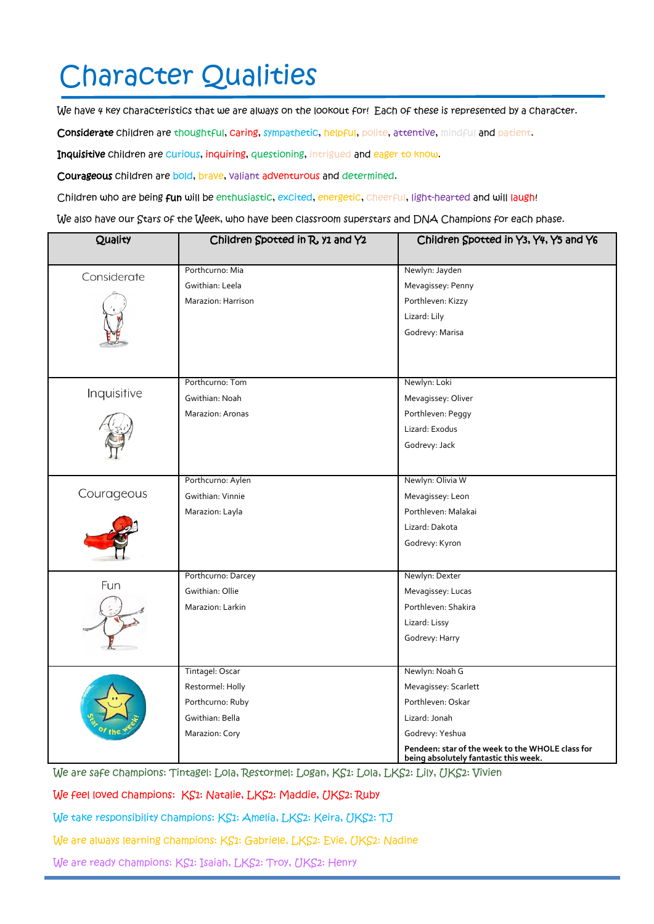# Character Qualities

We have 4 key characteristics that we are always on the lookout for! Each of these is represented by a character.

Considerate children are thoughtful, caring, sympathetic, helpful, polite, attentive, mindful and patient.

Inquisitive children are curious, inquiring, questioning, intrigued and eager to know.

Courageous children are bold, brave, valiant adventurous and determined.

Children who are being fun will be enthusiastic, excited, energetic, cheerful, light-hearted and will laugh!

We also have our Stars of the Week, who have been classroom superstars and DNA Champions for each phase.

| Quality     | Children Spotted in R, y1 and Y2 | Children Spotted in Y3, Y4, Y5 and Y6                                                     |
|-------------|----------------------------------|-------------------------------------------------------------------------------------------|
|             | Porthcurno: Mia                  | Newlyn: Jayden                                                                            |
| Considerate | Gwithian: Leela                  |                                                                                           |
|             |                                  | Mevagissey: Penny                                                                         |
|             | Marazion: Harrison               | Porthleven: Kizzy                                                                         |
|             |                                  | Lizard: Lily                                                                              |
|             |                                  | Godrevy: Marisa                                                                           |
|             |                                  |                                                                                           |
|             |                                  |                                                                                           |
| Inquisitive | Porthcurno: Tom                  | Newlyn: Loki                                                                              |
|             | Gwithian: Noah                   | Mevagissey: Oliver                                                                        |
|             | Marazion: Aronas                 | Porthleven: Peggy                                                                         |
|             |                                  | Lizard: Exodus                                                                            |
|             |                                  | Godrevy: Jack                                                                             |
|             |                                  |                                                                                           |
| Courageous  | Porthcurno: Aylen                | Newlyn: Olivia W                                                                          |
|             | Gwithian: Vinnie                 | Mevagissey: Leon                                                                          |
|             | Marazion: Layla                  | Porthleven: Malakai                                                                       |
|             |                                  | Lizard: Dakota                                                                            |
|             |                                  | Godrevy: Kyron                                                                            |
|             |                                  |                                                                                           |
| Fun         | Porthcurno: Darcey               | Newlyn: Dexter                                                                            |
|             | Gwithian: Ollie                  | Mevagissey: Lucas                                                                         |
|             | Marazion: Larkin                 | Porthleven: Shakira                                                                       |
|             |                                  | Lizard: Lissy                                                                             |
|             |                                  | Godrevy: Harry                                                                            |
|             |                                  |                                                                                           |
|             | Tintagel: Oscar                  | Newlyn: Noah G                                                                            |
|             | Restormel: Holly                 | Mevagissey: Scarlett                                                                      |
|             | Porthcurno: Ruby                 | Porthleven: Oskar                                                                         |
|             | Gwithian: Bella                  | Lizard: Jonah                                                                             |
|             | Marazion: Cory                   | Godrevy: Yeshua                                                                           |
|             |                                  | Pendeen: star of the week to the WHOLE class for<br>being absolutely fantastic this week. |

We are safe champions: Tintagel: Lola, Restormel: Logan, KS1: Lola, LKS2: Lily, UKS2: Vivien

We feel loved champions: KS1: Natalie, LKS2: Maddie, UKS2: Ruby

We take responsibility champions: KS1: Amelia, LKS2: Keira, UKS2: TJ

We are always learning champions: KS1: Gabriele, LKS2: Evie, UKS2: Nadine

We are ready champions: KS1: Isaiah, LKS2: Troy, UKS2: Henry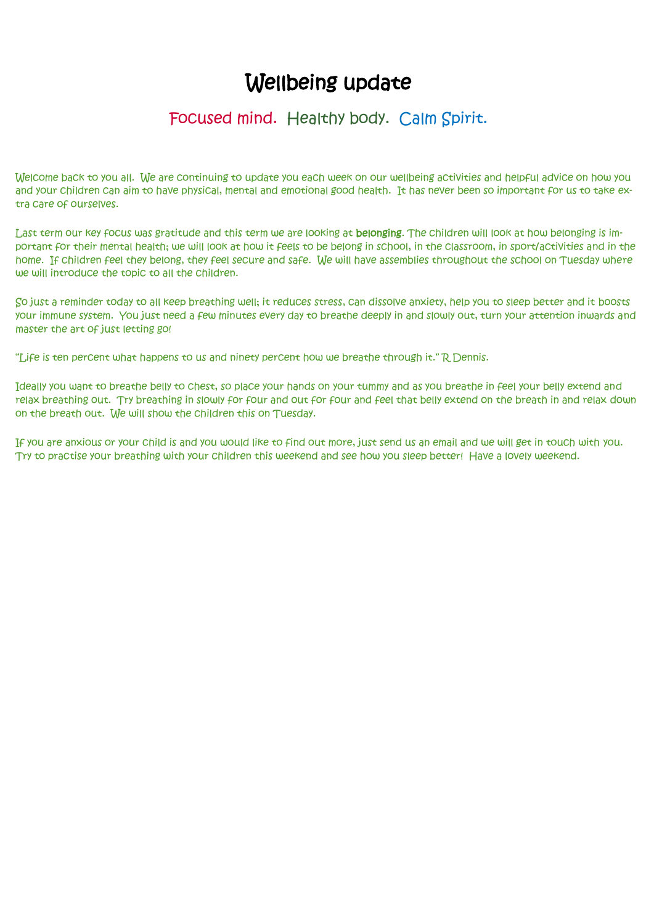# Wellbeing update

## Focused mind. Healthy body. Calm Spirit.

Welcome back to you all. We are continuing to update you each week on our wellbeing activities and helpful advice on how you and your children can aim to have physical, mental and emotional good health. It has never been so important for us to take extra care of ourselves.

Last term our key focus was gratitude and this term we are looking at belonging. The children will look at how belonging is important for their mental health; we will look at how it feels to be belong in school, in the classroom, in sport/activities and in the home. If children feel they belong, they feel secure and safe. We will have assemblies throughout the school on Tuesday where we will introduce the topic to all the children.

So just a reminder today to all keep breathing well; it reduces stress, can dissolve anxiety, help you to sleep better and it boosts your immune system. You just need a few minutes every day to breathe deeply in and slowly out, turn your attention inwards and master the art of just letting go!

"Life is ten percent what happens to us and ninety percent how we breathe through it." R Dennis.

Ideally you want to breathe belly to chest, so place your hands on your tummy and as you breathe in feel your belly extend and relax breathing out. Try breathing in slowly for four and out for four and feel that belly extend on the breath in and relax down on the breath out. We will show the children this on Tuesday.

If you are anxious or your child is and you would like to find out more, just send us an email and we will get in touch with you. Try to practise your breathing with your children this weekend and see how you sleep better! Have a lovely weekend.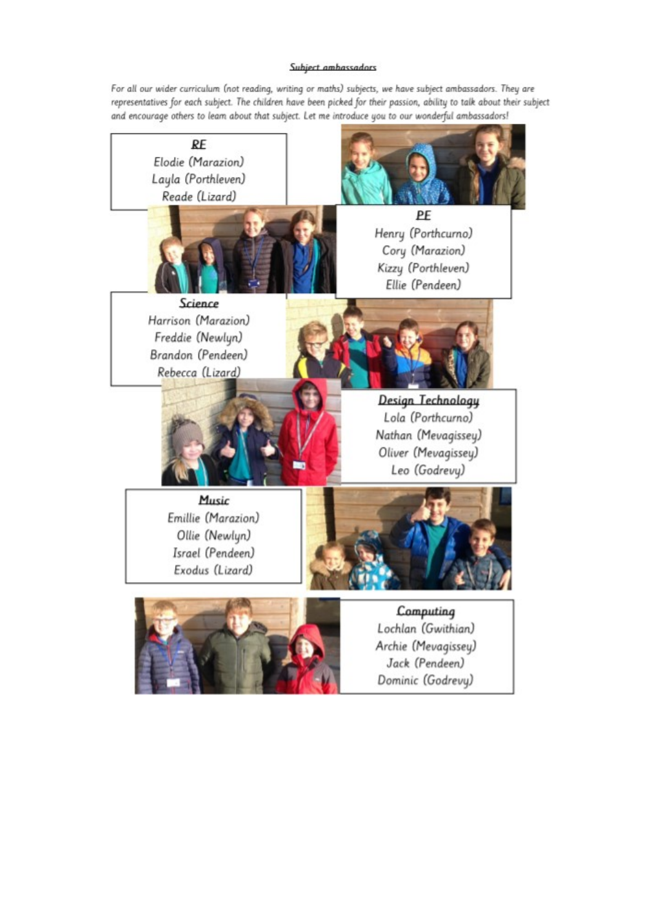#### Subject ambassadors

For all our wider curriculum (not reading, writing or maths) subjects, we have subject ambassadors. They are representatives for each subject. The children have been picked for their passion, ability to talk about their subject and encourage others to leam about that subject. Let me introduce you to our wonderful ambassadors!